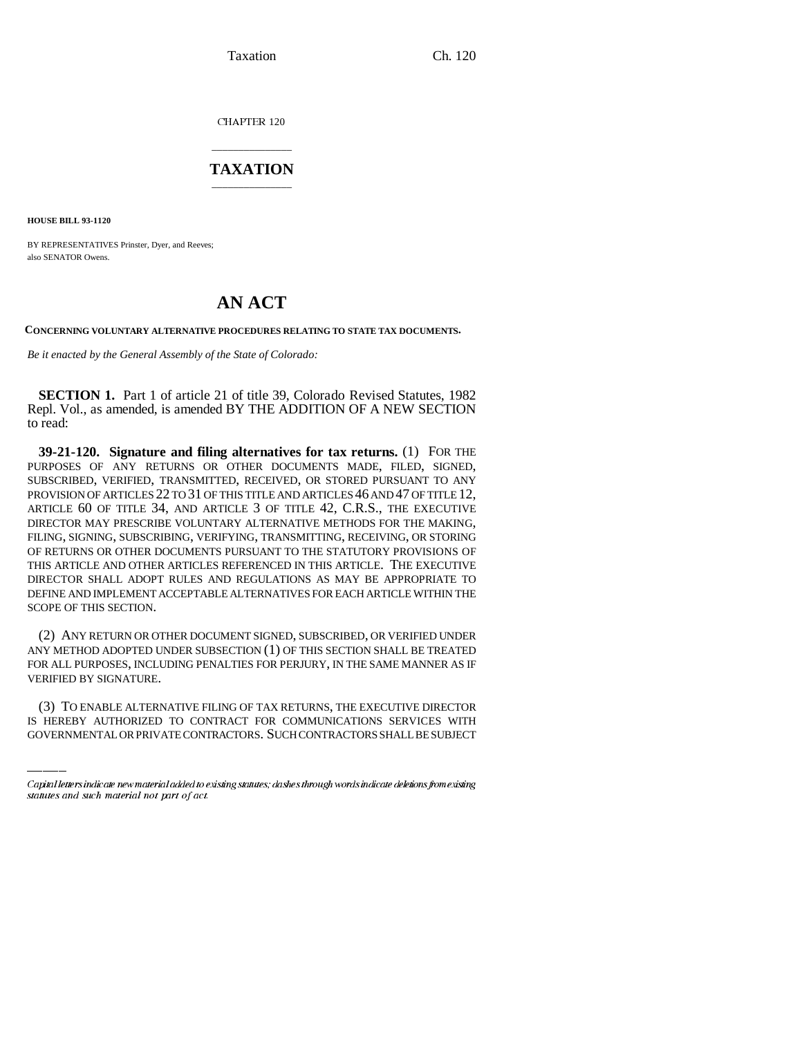Taxation Ch. 120

CHAPTER 120

## \_\_\_\_\_\_\_\_\_\_\_\_\_\_\_ **TAXATION** \_\_\_\_\_\_\_\_\_\_\_\_\_\_\_

**HOUSE BILL 93-1120**

BY REPRESENTATIVES Prinster, Dyer, and Reeves; also SENATOR Owens.

## **AN ACT**

**CONCERNING VOLUNTARY ALTERNATIVE PROCEDURES RELATING TO STATE TAX DOCUMENTS.**

*Be it enacted by the General Assembly of the State of Colorado:*

**SECTION 1.** Part 1 of article 21 of title 39, Colorado Revised Statutes, 1982 Repl. Vol., as amended, is amended BY THE ADDITION OF A NEW SECTION to read:

**39-21-120. Signature and filing alternatives for tax returns.** (1) FOR THE PURPOSES OF ANY RETURNS OR OTHER DOCUMENTS MADE, FILED, SIGNED, SUBSCRIBED, VERIFIED, TRANSMITTED, RECEIVED, OR STORED PURSUANT TO ANY PROVISION OF ARTICLES 22 TO 31 OF THIS TITLE AND ARTICLES 46 AND 47 OF TITLE 12, ARTICLE 60 OF TITLE 34, AND ARTICLE 3 OF TITLE 42, C.R.S., THE EXECUTIVE DIRECTOR MAY PRESCRIBE VOLUNTARY ALTERNATIVE METHODS FOR THE MAKING, FILING, SIGNING, SUBSCRIBING, VERIFYING, TRANSMITTING, RECEIVING, OR STORING OF RETURNS OR OTHER DOCUMENTS PURSUANT TO THE STATUTORY PROVISIONS OF THIS ARTICLE AND OTHER ARTICLES REFERENCED IN THIS ARTICLE. THE EXECUTIVE DIRECTOR SHALL ADOPT RULES AND REGULATIONS AS MAY BE APPROPRIATE TO DEFINE AND IMPLEMENT ACCEPTABLE ALTERNATIVES FOR EACH ARTICLE WITHIN THE SCOPE OF THIS SECTION.

VERIFIED BY SIGNATURE. (2) ANY RETURN OR OTHER DOCUMENT SIGNED, SUBSCRIBED, OR VERIFIED UNDER ANY METHOD ADOPTED UNDER SUBSECTION (1) OF THIS SECTION SHALL BE TREATED FOR ALL PURPOSES, INCLUDING PENALTIES FOR PERJURY, IN THE SAME MANNER AS IF

(3) TO ENABLE ALTERNATIVE FILING OF TAX RETURNS, THE EXECUTIVE DIRECTOR IS HEREBY AUTHORIZED TO CONTRACT FOR COMMUNICATIONS SERVICES WITH GOVERNMENTAL OR PRIVATE CONTRACTORS. SUCH CONTRACTORS SHALL BE SUBJECT

Capital letters indicate new material added to existing statutes; dashes through words indicate deletions from existing statutes and such material not part of act.